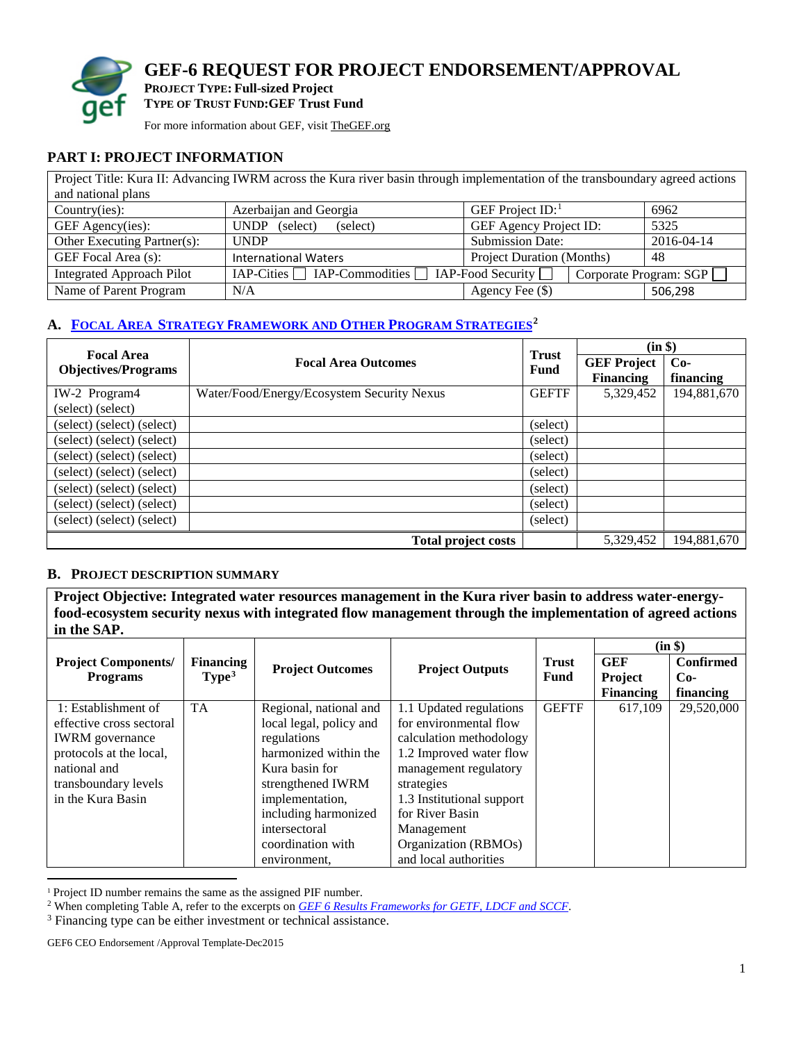

**GEF-6 REQUEST FOR PROJECT ENDORSEMENT/APPROVAL PROJECT TYPE: Full-sized Project**

**TYPE OF TRUST FUND:GEF Trust Fund**

For more information about GEF, visi[t TheGEF.org](http://www.thegef.org/gef/home)

#### **PART I: PROJECT INFORMATION**

| Project Title: Kura II: Advancing IWRM across the Kura river basin through implementation of the transboundary agreed actions |                                                                       |                        |         |  |  |  |
|-------------------------------------------------------------------------------------------------------------------------------|-----------------------------------------------------------------------|------------------------|---------|--|--|--|
| and national plans                                                                                                            |                                                                       |                        |         |  |  |  |
| Country(ies):                                                                                                                 | Azerbaijan and Georgia                                                | GEF Project $ID$ :     | 6962    |  |  |  |
| GEF Agency(ies):                                                                                                              | 5325<br>GEF Agency Project ID:<br>(select)<br>(select)<br><b>UNDP</b> |                        |         |  |  |  |
| Other Executing Partner(s):                                                                                                   | <b>Submission Date:</b><br>2016-04-14<br><b>UNDP</b>                  |                        |         |  |  |  |
| GEF Focal Area (s):                                                                                                           | <b>Project Duration (Months)</b><br>48<br><b>International Waters</b> |                        |         |  |  |  |
| <b>Integrated Approach Pilot</b>                                                                                              | $IAP-Cities$ IAP-Commodities $\Box$ IAP-Food Security $\Box$          | Corporate Program: SGP |         |  |  |  |
| Name of Parent Program                                                                                                        | N/A                                                                   | Agency Fee (\$)        | 506,298 |  |  |  |

## **A. FOCAL AREA STRATEGY F[RAMEWORK AND OTHER PROGRAM STRATEGIES](https://www.thegef.org/gef/sites/thegef.org/AppData/Local/Microsoft/Windows/Temporary%20Internet%20Files/AppData/Local/Microsoft/Windows/Temporary%20Internet%20Files/Content.Outlook/5RRT28VG/refer%20to%20the%20excerpts%20on%20GEF%206%20Results%20Frameworks%20for%20GETF,%20LDCF%20and%20SCCF.)[2](#page-0-1)**

| <b>Focal Area</b>          |                                            |                      | $(in \$)$                              |                    |  |
|----------------------------|--------------------------------------------|----------------------|----------------------------------------|--------------------|--|
| <b>Objectives/Programs</b> | <b>Focal Area Outcomes</b>                 | <b>Trust</b><br>Fund | <b>GEF Project</b><br><b>Financing</b> | $Co-$<br>financing |  |
| IW-2 Program4              | Water/Food/Energy/Ecosystem Security Nexus | <b>GEFTF</b>         | 5,329,452                              | 194,881,670        |  |
| (select) (select)          |                                            |                      |                                        |                    |  |
| (select) (select) (select) |                                            | (select)             |                                        |                    |  |
| (select) (select) (select) |                                            | (select)             |                                        |                    |  |
| (select) (select) (select) |                                            | (select)             |                                        |                    |  |
| (select) (select) (select) |                                            | (select)             |                                        |                    |  |
| (select) (select) (select) |                                            | (select)             |                                        |                    |  |
| (select) (select) (select) |                                            | (select)             |                                        |                    |  |
| (select) (select) (select) |                                            | (select)             |                                        |                    |  |
|                            | <b>Total project costs</b>                 |                      | 5,329,452                              | 194,881,670        |  |

#### **B. PROJECT DESCRIPTION SUMMARY**

**Project Objective: Integrated water resources management in the Kura river basin to address water-energyfood-ecosystem security nexus with integrated flow management through the implementation of agreed actions in the SAP.** 

|                            |                   |                         |                           |              |                  | (in \$)          |
|----------------------------|-------------------|-------------------------|---------------------------|--------------|------------------|------------------|
| <b>Project Components/</b> | <b>Financing</b>  | <b>Project Outcomes</b> | <b>Project Outputs</b>    | <b>Trust</b> | <b>GEF</b>       | <b>Confirmed</b> |
| <b>Programs</b>            | Type <sup>3</sup> |                         |                           | Fund         | <b>Project</b>   | $Co-$            |
|                            |                   |                         |                           |              | <b>Financing</b> | financing        |
| 1: Establishment of        | <b>TA</b>         | Regional, national and  | 1.1 Updated regulations   | <b>GEFTF</b> | 617,109          | 29,520,000       |
| effective cross sectoral   |                   | local legal, policy and | for environmental flow    |              |                  |                  |
| <b>IWRM</b> governance     |                   | regulations             | calculation methodology   |              |                  |                  |
| protocols at the local,    |                   | harmonized within the   | 1.2 Improved water flow   |              |                  |                  |
| national and               |                   | Kura basin for          | management regulatory     |              |                  |                  |
| transboundary levels       |                   | strengthened IWRM       | strategies                |              |                  |                  |
| in the Kura Basin          |                   | implementation,         | 1.3 Institutional support |              |                  |                  |
|                            |                   | including harmonized    | for River Basin           |              |                  |                  |
|                            |                   | intersectoral           | Management                |              |                  |                  |
|                            |                   | coordination with       | Organization (RBMOs)      |              |                  |                  |
|                            |                   | environment.            | and local authorities     |              |                  |                  |

<span id="page-0-0"></span><sup>1</sup> Project ID number remains the same as the assigned PIF number.

GEF6 CEO Endorsement /Approval Template-Dec2015

 $\overline{\phantom{a}}$ 

<span id="page-0-1"></span><sup>2</sup> When completing Table A, refer to the excerpts on *[GEF 6 Results Frameworks for GETF, LDCF and SCCF](https://www.thegef.org/gef/sites/thegef.org/files/documents/document/GEF6%20Results%20Framework%20for%20GEFTF%20and%20LDCF.SCCF_.pdf)*.

<span id="page-0-2"></span><sup>&</sup>lt;sup>3</sup> Financing type can be either investment or technical assistance.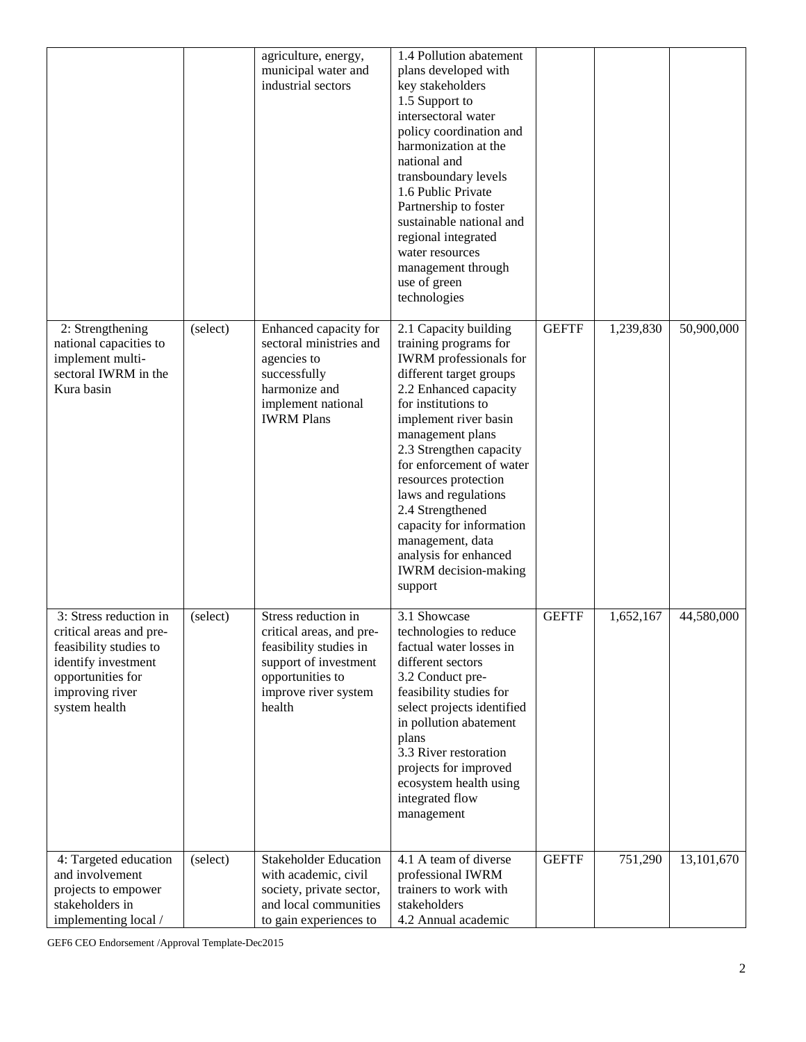|                                                                                                                                                             |          | agriculture, energy,<br>municipal water and<br>industrial sectors                                                                                        | 1.4 Pollution abatement<br>plans developed with<br>key stakeholders<br>1.5 Support to<br>intersectoral water<br>policy coordination and<br>harmonization at the<br>national and<br>transboundary levels<br>1.6 Public Private<br>Partnership to foster<br>sustainable national and<br>regional integrated<br>water resources<br>management through<br>use of green<br>technologies                                                                    |              |           |            |
|-------------------------------------------------------------------------------------------------------------------------------------------------------------|----------|----------------------------------------------------------------------------------------------------------------------------------------------------------|-------------------------------------------------------------------------------------------------------------------------------------------------------------------------------------------------------------------------------------------------------------------------------------------------------------------------------------------------------------------------------------------------------------------------------------------------------|--------------|-----------|------------|
| 2: Strengthening<br>national capacities to<br>implement multi-<br>sectoral IWRM in the<br>Kura basin                                                        | (select) | Enhanced capacity for<br>sectoral ministries and<br>agencies to<br>successfully<br>harmonize and<br>implement national<br><b>IWRM Plans</b>              | 2.1 Capacity building<br>training programs for<br><b>IWRM</b> professionals for<br>different target groups<br>2.2 Enhanced capacity<br>for institutions to<br>implement river basin<br>management plans<br>2.3 Strengthen capacity<br>for enforcement of water<br>resources protection<br>laws and regulations<br>2.4 Strengthened<br>capacity for information<br>management, data<br>analysis for enhanced<br><b>IWRM</b> decision-making<br>support | <b>GEFTF</b> | 1,239,830 | 50,900,000 |
| 3: Stress reduction in<br>critical areas and pre-<br>feasibility studies to<br>identify investment<br>opportunities for<br>improving river<br>system health | (select) | Stress reduction in<br>critical areas, and pre-<br>feasibility studies in<br>support of investment<br>opportunities to<br>improve river system<br>health | 3.1 Showcase<br>technologies to reduce<br>factual water losses in<br>different sectors<br>3.2 Conduct pre-<br>feasibility studies for<br>select projects identified<br>in pollution abatement<br>plans<br>3.3 River restoration<br>projects for improved<br>ecosystem health using<br>integrated flow<br>management                                                                                                                                   | <b>GEFTF</b> | 1,652,167 | 44,580,000 |
| 4: Targeted education<br>and involvement<br>projects to empower<br>stakeholders in<br>implementing local /                                                  | (select) | <b>Stakeholder Education</b><br>with academic, civil<br>society, private sector,<br>and local communities<br>to gain experiences to                      | 4.1 A team of diverse<br>professional IWRM<br>trainers to work with<br>stakeholders<br>4.2 Annual academic                                                                                                                                                                                                                                                                                                                                            | <b>GEFTF</b> | 751,290   | 13,101,670 |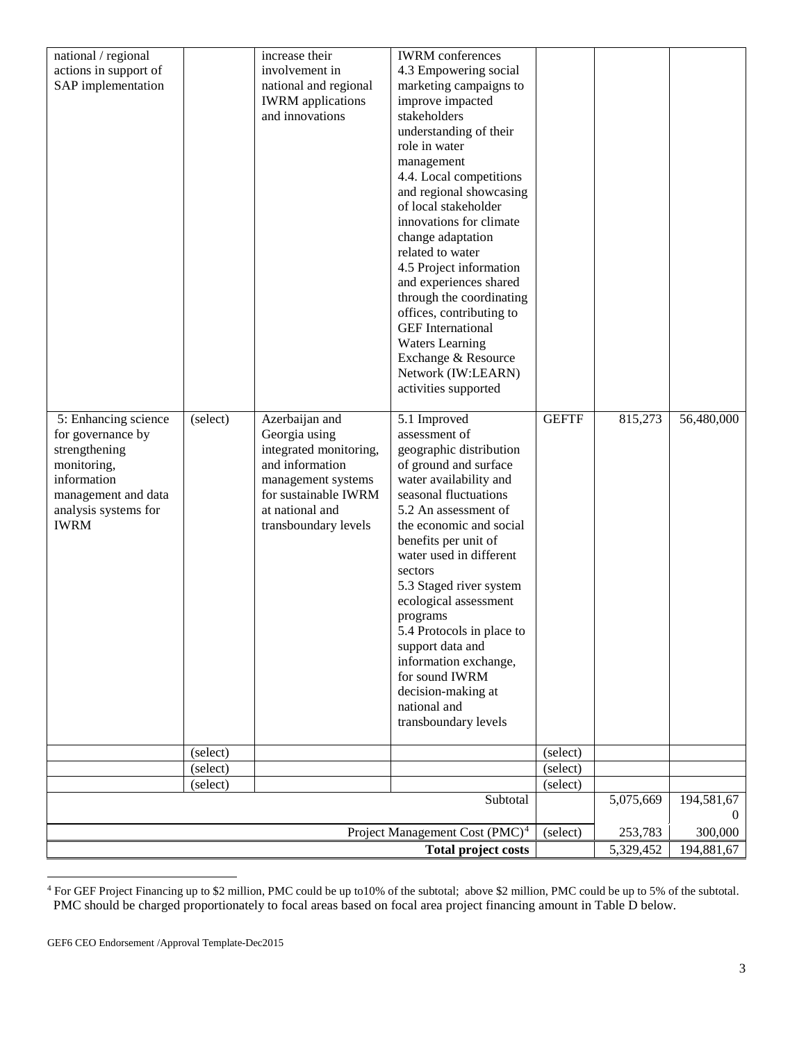| national / regional                         |                      | increase their                                    | <b>IWRM</b> conferences                         |                      |           |            |
|---------------------------------------------|----------------------|---------------------------------------------------|-------------------------------------------------|----------------------|-----------|------------|
| actions in support of<br>SAP implementation |                      | involvement in                                    | 4.3 Empowering social<br>marketing campaigns to |                      |           |            |
|                                             |                      | national and regional<br><b>IWRM</b> applications | improve impacted                                |                      |           |            |
|                                             |                      | and innovations                                   | stakeholders                                    |                      |           |            |
|                                             |                      |                                                   | understanding of their                          |                      |           |            |
|                                             |                      |                                                   | role in water                                   |                      |           |            |
|                                             |                      |                                                   | management                                      |                      |           |            |
|                                             |                      |                                                   | 4.4. Local competitions                         |                      |           |            |
|                                             |                      |                                                   | and regional showcasing                         |                      |           |            |
|                                             |                      |                                                   | of local stakeholder                            |                      |           |            |
|                                             |                      |                                                   | innovations for climate                         |                      |           |            |
|                                             |                      |                                                   | change adaptation<br>related to water           |                      |           |            |
|                                             |                      |                                                   | 4.5 Project information                         |                      |           |            |
|                                             |                      |                                                   | and experiences shared                          |                      |           |            |
|                                             |                      |                                                   | through the coordinating                        |                      |           |            |
|                                             |                      |                                                   | offices, contributing to                        |                      |           |            |
|                                             |                      |                                                   | <b>GEF</b> International                        |                      |           |            |
|                                             |                      |                                                   | <b>Waters Learning</b>                          |                      |           |            |
|                                             |                      |                                                   | Exchange & Resource                             |                      |           |            |
|                                             |                      |                                                   | Network (IW:LEARN)                              |                      |           |            |
|                                             |                      |                                                   | activities supported                            |                      |           |            |
| 5: Enhancing science                        | (select)             | Azerbaijan and                                    | 5.1 Improved                                    | <b>GEFTF</b>         | 815,273   | 56,480,000 |
| for governance by                           |                      | Georgia using                                     | assessment of                                   |                      |           |            |
| strengthening                               |                      | integrated monitoring,                            | geographic distribution                         |                      |           |            |
| monitoring,                                 |                      | and information                                   | of ground and surface                           |                      |           |            |
| information                                 |                      | management systems                                | water availability and                          |                      |           |            |
| management and data                         |                      | for sustainable IWRM                              | seasonal fluctuations                           |                      |           |            |
| analysis systems for<br><b>IWRM</b>         |                      | at national and<br>transboundary levels           | 5.2 An assessment of<br>the economic and social |                      |           |            |
|                                             |                      |                                                   | benefits per unit of                            |                      |           |            |
|                                             |                      |                                                   | water used in different                         |                      |           |            |
|                                             |                      |                                                   | sectors                                         |                      |           |            |
|                                             |                      |                                                   | 5.3 Staged river system                         |                      |           |            |
|                                             |                      |                                                   | ecological assessment                           |                      |           |            |
|                                             |                      |                                                   | programs                                        |                      |           |            |
|                                             |                      |                                                   | 5.4 Protocols in place to                       |                      |           |            |
|                                             |                      |                                                   | support data and<br>information exchange,       |                      |           |            |
|                                             |                      |                                                   | for sound IWRM                                  |                      |           |            |
|                                             |                      |                                                   | decision-making at                              |                      |           |            |
|                                             |                      |                                                   | national and                                    |                      |           |            |
|                                             |                      |                                                   | transboundary levels                            |                      |           |            |
|                                             |                      |                                                   |                                                 |                      |           |            |
|                                             | (select)<br>(select) |                                                   |                                                 | (select)<br>(select) |           |            |
|                                             | (select)             |                                                   |                                                 | (select)             |           |            |
|                                             |                      |                                                   | Subtotal                                        |                      | 5,075,669 | 194,581,67 |
|                                             |                      |                                                   |                                                 |                      |           | $\theta$   |
|                                             |                      |                                                   | Project Management Cost (PMC) <sup>4</sup>      | (select)             | 253,783   | 300,000    |
|                                             |                      |                                                   | <b>Total project costs</b>                      |                      | 5,329,452 | 194,881,67 |

<span id="page-2-0"></span><sup>4</sup> For GEF Project Financing up to \$2 million, PMC could be up to10% of the subtotal; above \$2 million, PMC could be up to 5% of the subtotal. PMC should be charged proportionately to focal areas based on focal area project financing amount in Table D below. l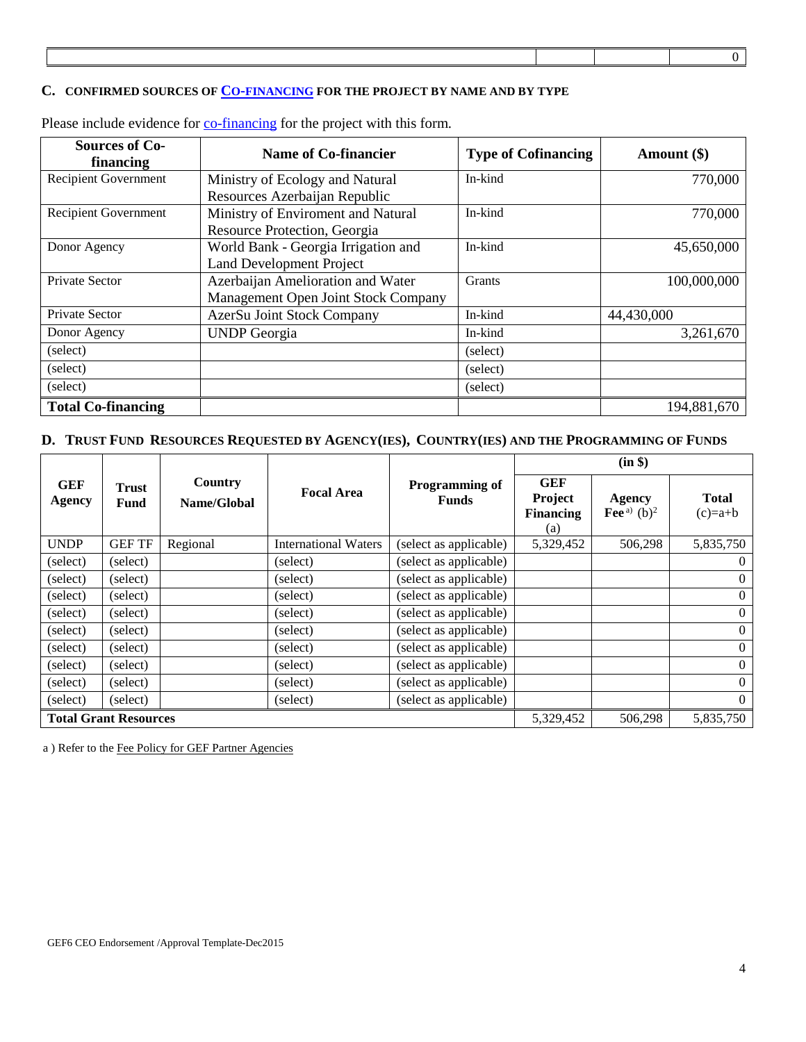#### **C. CONFIRMED SOURCES OF [CO-FINANCING](http://www.thegef.org/gef/policy/co-financing) FOR THE PROJECT BY NAME AND BY TYPE**

| <b>Sources of Co-</b><br>financing | <b>Name of Co-financier</b>         | <b>Type of Cofinancing</b> | Amount $(\$)$ |
|------------------------------------|-------------------------------------|----------------------------|---------------|
| <b>Recipient Government</b>        | Ministry of Ecology and Natural     | In-kind                    | 770,000       |
|                                    | Resources Azerbaijan Republic       |                            |               |
| <b>Recipient Government</b>        | Ministry of Enviroment and Natural  | In-kind                    | 770,000       |
|                                    | Resource Protection, Georgia        |                            |               |
| Donor Agency                       | World Bank - Georgia Irrigation and | In-kind                    | 45,650,000    |
|                                    | <b>Land Development Project</b>     |                            |               |
| Private Sector                     | Azerbaijan Amelioration and Water   | Grants                     | 100,000,000   |
|                                    | Management Open Joint Stock Company |                            |               |
| Private Sector                     | AzerSu Joint Stock Company          | In-kind                    | 44,430,000    |
| Donor Agency                       | <b>UNDP</b> Georgia                 | In-kind                    | 3,261,670     |
| (select)                           |                                     | (select)                   |               |
| (select)                           |                                     | (select)                   |               |
| (select)                           |                                     | (select)                   |               |
| <b>Total Co-financing</b>          |                                     |                            | 194,881,670   |

Please include evidence for [co-financing](http://www.thegef.org/gef/policy/co-financing) for the project with this form.

#### **D. TRUST FUND RESOURCES REQUESTED BY AGENCY(IES), COUNTRY(IES) AND THE PROGRAMMING OF FUNDS**

|                             |                              |                        |                             |                                       |                                                  | (in \$)                                   |                           |
|-----------------------------|------------------------------|------------------------|-----------------------------|---------------------------------------|--------------------------------------------------|-------------------------------------------|---------------------------|
| <b>GEF</b><br><b>Agency</b> | Trust<br><b>Fund</b>         | Country<br>Name/Global | <b>Focal Area</b>           | <b>Programming of</b><br><b>Funds</b> | <b>GEF</b><br>Project<br><b>Financing</b><br>(a) | <b>Agency</b><br>Fee <sup>a</sup> $(b)^2$ | <b>Total</b><br>$(c)=a+b$ |
| <b>UNDP</b>                 | <b>GEF TF</b>                | Regional               | <b>International Waters</b> | (select as applicable)                | 5,329,452                                        | 506,298                                   | 5,835,750                 |
| (select)                    | (select)                     |                        | (select)                    | (select as applicable)                |                                                  |                                           | $\overline{0}$            |
| (select)                    | (select)                     |                        | (select)                    | (select as applicable)                |                                                  |                                           | $\overline{0}$            |
| (select)                    | (select)                     |                        | (select)                    | (select as applicable)                |                                                  |                                           | $\overline{0}$            |
| (select)                    | (select)                     |                        | (select)                    | (select as applicable)                |                                                  |                                           | $\overline{0}$            |
| (select)                    | (select)                     |                        | (select)                    | (select as applicable)                |                                                  |                                           | $\overline{0}$            |
| (select)                    | (select)                     |                        | (select)                    | (select as applicable)                |                                                  |                                           | $\overline{0}$            |
| (select)                    | (select)                     |                        | (select)                    | (select as applicable)                |                                                  |                                           | $\overline{0}$            |
| (select)                    | (select)                     |                        | (select)                    | (select as applicable)                |                                                  |                                           | $\overline{0}$            |
| (select)                    | (select)                     |                        | (select)                    | (select as applicable)                |                                                  |                                           | $\overline{0}$            |
|                             | <b>Total Grant Resources</b> |                        |                             |                                       | 5,329,452                                        | 506,298                                   | 5,835,750                 |

a ) Refer to th[e Fee Policy for GEF Partner Agencies](http://www.thegef.org/gef/sites/thegef.org/files/documents/document/gef-fee-policy.pdf)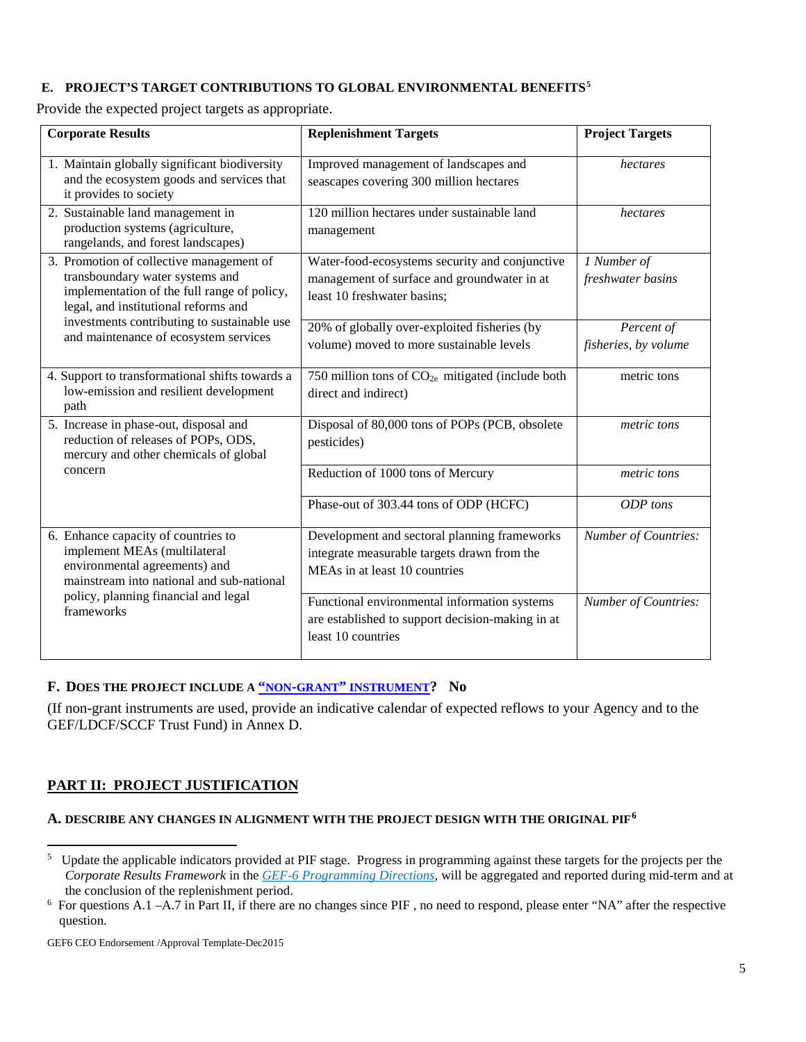### **E. PROJECT'S TARGET CONTRIBUTIONS TO GLOBAL ENVIRONMENTAL BENEFITS[5](#page-4-0)**

Provide the expected project targets as appropriate.

| <b>Corporate Results</b>                                                                                                                                           | <b>Replenishment Targets</b>                                                                                                 | <b>Project Targets</b>             |
|--------------------------------------------------------------------------------------------------------------------------------------------------------------------|------------------------------------------------------------------------------------------------------------------------------|------------------------------------|
| 1. Maintain globally significant biodiversity<br>and the ecosystem goods and services that<br>it provides to society                                               | Improved management of landscapes and<br>seascapes covering 300 million hectares                                             | hectares                           |
| 2. Sustainable land management in<br>production systems (agriculture,<br>rangelands, and forest landscapes)                                                        | 120 million hectares under sustainable land<br>management                                                                    | hectares                           |
| 3. Promotion of collective management of<br>transboundary water systems and<br>implementation of the full range of policy,<br>legal, and institutional reforms and | Water-food-ecosystems security and conjunctive<br>management of surface and groundwater in at<br>least 10 freshwater basins; | 1 Number of<br>freshwater basins   |
| investments contributing to sustainable use<br>and maintenance of ecosystem services                                                                               | 20% of globally over-exploited fisheries (by<br>volume) moved to more sustainable levels                                     | Percent of<br>fisheries, by volume |
| 4. Support to transformational shifts towards a<br>low-emission and resilient development<br>path                                                                  | 750 million tons of $CO2e$ mitigated (include both<br>direct and indirect)                                                   | metric tons                        |
| 5. Increase in phase-out, disposal and<br>reduction of releases of POPs, ODS,<br>mercury and other chemicals of global                                             | Disposal of 80,000 tons of POPs (PCB, obsolete<br>pesticides)                                                                | metric tons                        |
| concern                                                                                                                                                            | Reduction of 1000 tons of Mercury                                                                                            | metric tons                        |
|                                                                                                                                                                    | Phase-out of 303.44 tons of ODP (HCFC)                                                                                       | ODP tons                           |
| 6. Enhance capacity of countries to<br>implement MEAs (multilateral<br>environmental agreements) and<br>mainstream into national and sub-national                  | Development and sectoral planning frameworks<br>integrate measurable targets drawn from the<br>MEAs in at least 10 countries | <b>Number of Countries:</b>        |
| policy, planning financial and legal<br>frameworks                                                                                                                 | Functional environmental information systems<br>are established to support decision-making in at<br>least 10 countries       | Number of Countries:               |

### **F. DOES THE PROJECT INCLUDE A ["NON-GRANT"](http://www.thegef.org/gef/policy/non-grant_instruments) INSTRUMENT? No**

(If non-grant instruments are used, provide an indicative calendar of expected reflows to your Agency and to the GEF/LDCF/SCCF Trust Fund) in Annex D.

# **PART II: PROJECT JUSTIFICATION**

l

### **A. DESCRIBE ANY CHANGES IN ALIGNMENT WITH THE PROJECT DESIGN WITH THE ORIGINAL PIF[6](#page-4-1)**

<span id="page-4-0"></span><sup>&</sup>lt;sup>5</sup> Update the applicable indicators provided at PIF stage. Progress in programming against these targets for the projects per the *Corporate Results Framework* in the *[GEF-6 Programming Directions,](http://www.thegef.org/gef/sites/thegef.org/files/documents/GEF.C.46.07.Rev_.01_Summary_of_the_Negotiations_of_the_Sixth_Replenishment_of_the_GEF_Trust_Fund_May_22_2014.pdf)* will be aggregated and reported during mid-term and at the conclusion of the replenishment period.

<span id="page-4-1"></span><sup>&</sup>lt;sup>6</sup> For questions A.1 -A.7 in Part II, if there are no changes since PIF, no need to respond, please enter "NA" after the respective question.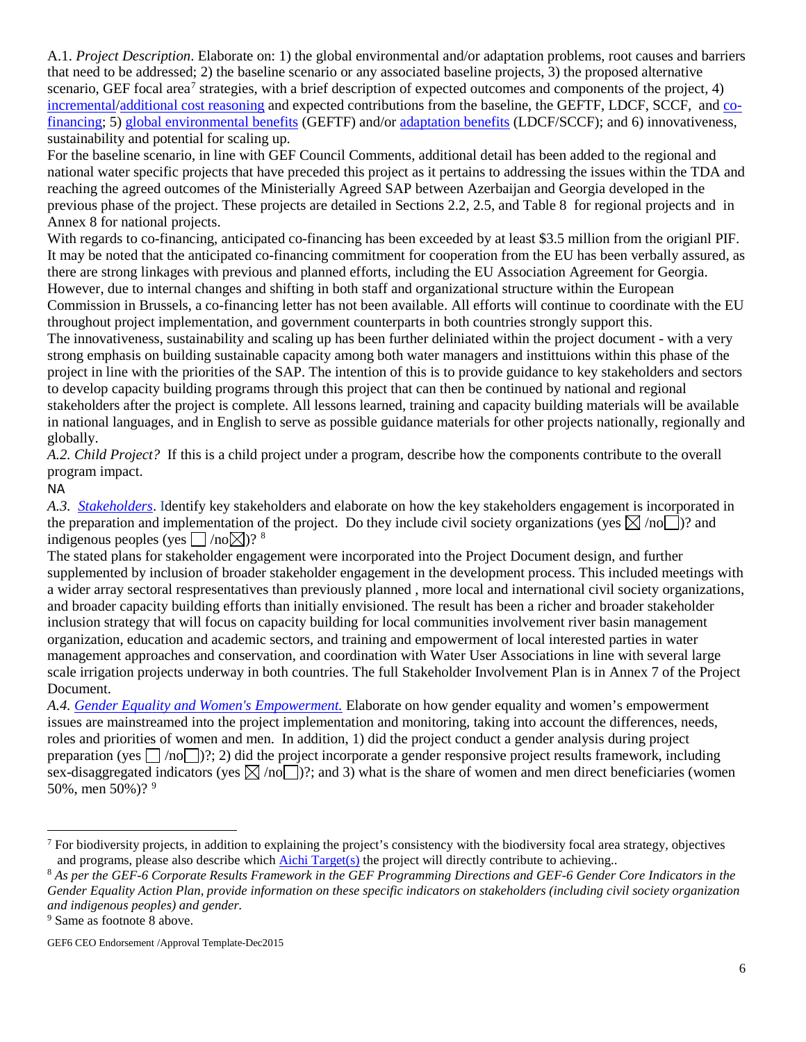A.1. *Project Description*. Elaborate on: 1) the global environmental and/or adaptation problems, root causes and barriers that need to be addressed; 2) the baseline scenario or any associated baseline projects, 3) the proposed alternative scenario, GEF focal area<sup>[7](#page-5-0)</sup> strategies, with a brief description of expected outcomes and components of the project, 4) [incremental/](http://www.thegef.org/gef/policy/incremental_costs)[additional cost reasoning](http://www.thegef.org/gef/node/1325) and expected contributions from the baseline, the GEFTF, LDCF, SCCF, and [co](http://www.thegef.org/gef/policy/co-financing)[financing;](http://www.thegef.org/gef/policy/co-financing) 5) [global environmental benefits](http://www.thegef.org/gef/GEB) (GEFTF) and/or [adaptation benefits](http://www.thegef.org/gef/sites/thegef.org/files/documents/GEF.R.5.12.Rev_.1.pdf) (LDCF/SCCF); and 6) innovativeness, sustainability and potential for scaling up.

For the baseline scenario, in line with GEF Council Comments, additional detail has been added to the regional and national water specific projects that have preceded this project as it pertains to addressing the issues within the TDA and reaching the agreed outcomes of the Ministerially Agreed SAP between Azerbaijan and Georgia developed in the previous phase of the project. These projects are detailed in Sections 2.2, 2.5, and Table 8 for regional projects and in Annex 8 for national projects.

With regards to co-financing, anticipated co-financing has been exceeded by at least \$3.5 million from the origianl PIF. It may be noted that the anticipated co-financing commitment for cooperation from the EU has been verbally assured, as there are strong linkages with previous and planned efforts, including the EU Association Agreement for Georgia. However, due to internal changes and shifting in both staff and organizational structure within the European Commission in Brussels, a co-financing letter has not been available. All efforts will continue to coordinate with the EU throughout project implementation, and government counterparts in both countries strongly support this.

The innovativeness, sustainability and scaling up has been further deliniated within the project document - with a very strong emphasis on building sustainable capacity among both water managers and instittuions within this phase of the project in line with the priorities of the SAP. The intention of this is to provide guidance to key stakeholders and sectors to develop capacity building programs through this project that can then be continued by national and regional stakeholders after the project is complete. All lessons learned, training and capacity building materials will be available in national languages, and in English to serve as possible guidance materials for other projects nationally, regionally and globally.

*A.2. Child Project?* If this is a child project under a program, describe how the components contribute to the overall program impact.

### NA

l

*A.3. [Stakeholders](http://www.thegef.org/gef/sites/thegef.org/files/documents/document/Public_Involvement_Policy.Dec_1_2011_rev_PB.pdf)*. Identify key stakeholders and elaborate on how the key stakeholders engagement is incorporated in the preparation and implementation of the project. Do they include civil society organizations (yes  $\boxtimes$  /no )? and indigenous peoples (yes  $\Box$ /no  $\boxtimes$ )? <sup>[8](#page-5-1)</sup>

The stated plans for stakeholder engagement were incorporated into the Project Document design, and further supplemented by inclusion of broader stakeholder engagement in the development process. This included meetings with a wider array sectoral respresentatives than previously planned , more local and international civil society organizations, and broader capacity building efforts than initially envisioned. The result has been a richer and broader stakeholder inclusion strategy that will focus on capacity building for local communities involvement river basin management organization, education and academic sectors, and training and empowerment of local interested parties in water management approaches and conservation, and coordination with Water User Associations in line with several large scale irrigation projects underway in both countries. The full Stakeholder Involvement Plan is in Annex 7 of the Project Document.

*A.4. [Gender Equality and Women's Empowerment.](http://www.thegef.org/gef/policy/gender)* Elaborate on how gender equality and women's empowerment issues are mainstreamed into the project implementation and monitoring, taking into account the differences, needs, roles and priorities of women and men. In addition, 1) did the project conduct a gender analysis during project preparation (yes  $\lceil \frac{1}{10} \rceil$ )?; 2) did the project incorporate a gender responsive project results framework, including sex-disaggregated indicators (yes  $\boxtimes$  /no )?; and 3) what is the share of women and men direct beneficiaries (women 50%, men 50%)? [9](#page-5-2)

<span id="page-5-0"></span> $<sup>7</sup>$  For biodiversity projects, in addition to explaining the project's consistency with the biodiversity focal area strategy, objectives</sup> and programs, please also describe which [Aichi Target\(s\)](http://www.thegef.org/gef/content/did-you-know-%E2%80%A6-convention-biological-diversity-has-agreed-20-targets-aka-aichi-targets-achie) the project will directly contribute to achieving..

<span id="page-5-1"></span><sup>8</sup> *As per the GEF-6 Corporate Results Framework in the GEF Programming Directions and GEF-6 Gender Core Indicators in the Gender Equality Action Plan, provide information on these specific indicators on stakeholders (including civil society organization and indigenous peoples) and gender.* 9 Same as footnote 8 above.

<span id="page-5-2"></span>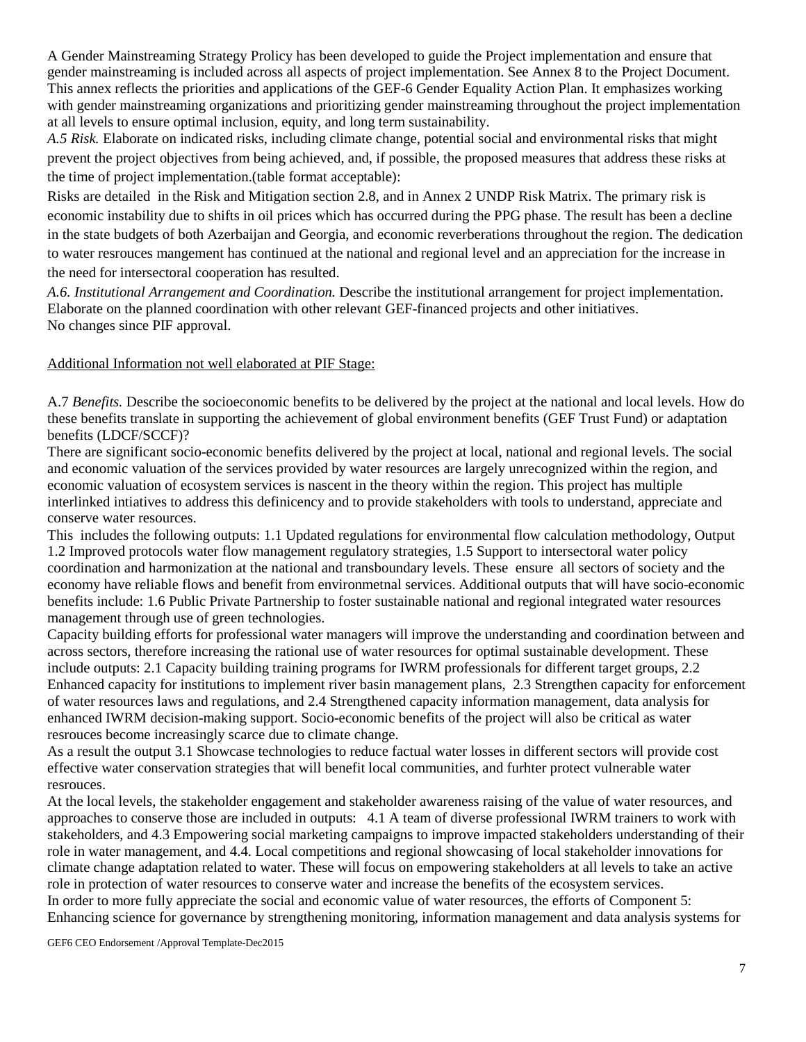A Gender Mainstreaming Strategy Prolicy has been developed to guide the Project implementation and ensure that gender mainstreaming is included across all aspects of project implementation. See Annex 8 to the Project Document. This annex reflects the priorities and applications of the GEF-6 Gender Equality Action Plan. It emphasizes working with gender mainstreaming organizations and prioritizing gender mainstreaming throughout the project implementation at all levels to ensure optimal inclusion, equity, and long term sustainability.

*A.5 Risk.* Elaborate on indicated risks, including climate change, potential social and environmental risks that might prevent the project objectives from being achieved, and, if possible, the proposed measures that address these risks at the time of project implementation.(table format acceptable):

Risks are detailed in the Risk and Mitigation section 2.8, and in Annex 2 UNDP Risk Matrix. The primary risk is economic instability due to shifts in oil prices which has occurred during the PPG phase. The result has been a decline in the state budgets of both Azerbaijan and Georgia, and economic reverberations throughout the region. The dedication to water resrouces mangement has continued at the national and regional level and an appreciation for the increase in the need for intersectoral cooperation has resulted.

*A.6. Institutional Arrangement and Coordination.* Describe the institutional arrangement for project implementation. Elaborate on the planned coordination with other relevant GEF-financed projects and other initiatives. No changes since PIF approval.

### Additional Information not well elaborated at PIF Stage:

A.7 *Benefits.* Describe the socioeconomic benefits to be delivered by the project at the national and local levels. How do these benefits translate in supporting the achievement of global environment benefits (GEF Trust Fund) or adaptation benefits (LDCF/SCCF)?

There are significant socio-economic benefits delivered by the project at local, national and regional levels. The social and economic valuation of the services provided by water resources are largely unrecognized within the region, and economic valuation of ecosystem services is nascent in the theory within the region. This project has multiple interlinked intiatives to address this definicency and to provide stakeholders with tools to understand, appreciate and conserve water resources.

This includes the following outputs: 1.1 Updated regulations for environmental flow calculation methodology, Output 1.2 Improved protocols water flow management regulatory strategies, 1.5 Support to intersectoral water policy coordination and harmonization at the national and transboundary levels. These ensure all sectors of society and the economy have reliable flows and benefit from environmetnal services. Additional outputs that will have socio-economic benefits include: 1.6 Public Private Partnership to foster sustainable national and regional integrated water resources management through use of green technologies.

Capacity building efforts for professional water managers will improve the understanding and coordination between and across sectors, therefore increasing the rational use of water resources for optimal sustainable development. These include outputs: 2.1 Capacity building training programs for IWRM professionals for different target groups, 2.2 Enhanced capacity for institutions to implement river basin management plans, 2.3 Strengthen capacity for enforcement of water resources laws and regulations, and 2.4 Strengthened capacity information management, data analysis for enhanced IWRM decision-making support. Socio-economic benefits of the project will also be critical as water resrouces become increasingly scarce due to climate change.

As a result the output 3.1 Showcase technologies to reduce factual water losses in different sectors will provide cost effective water conservation strategies that will benefit local communities, and furhter protect vulnerable water resrouces.

At the local levels, the stakeholder engagement and stakeholder awareness raising of the value of water resources, and approaches to conserve those are included in outputs: 4.1 A team of diverse professional IWRM trainers to work with stakeholders, and 4.3 Empowering social marketing campaigns to improve impacted stakeholders understanding of their role in water management, and 4.4. Local competitions and regional showcasing of local stakeholder innovations for climate change adaptation related to water. These will focus on empowering stakeholders at all levels to take an active role in protection of water resources to conserve water and increase the benefits of the ecosystem services. In order to more fully appreciate the social and economic value of water resources, the efforts of Component 5: Enhancing science for governance by strengthening monitoring, information management and data analysis systems for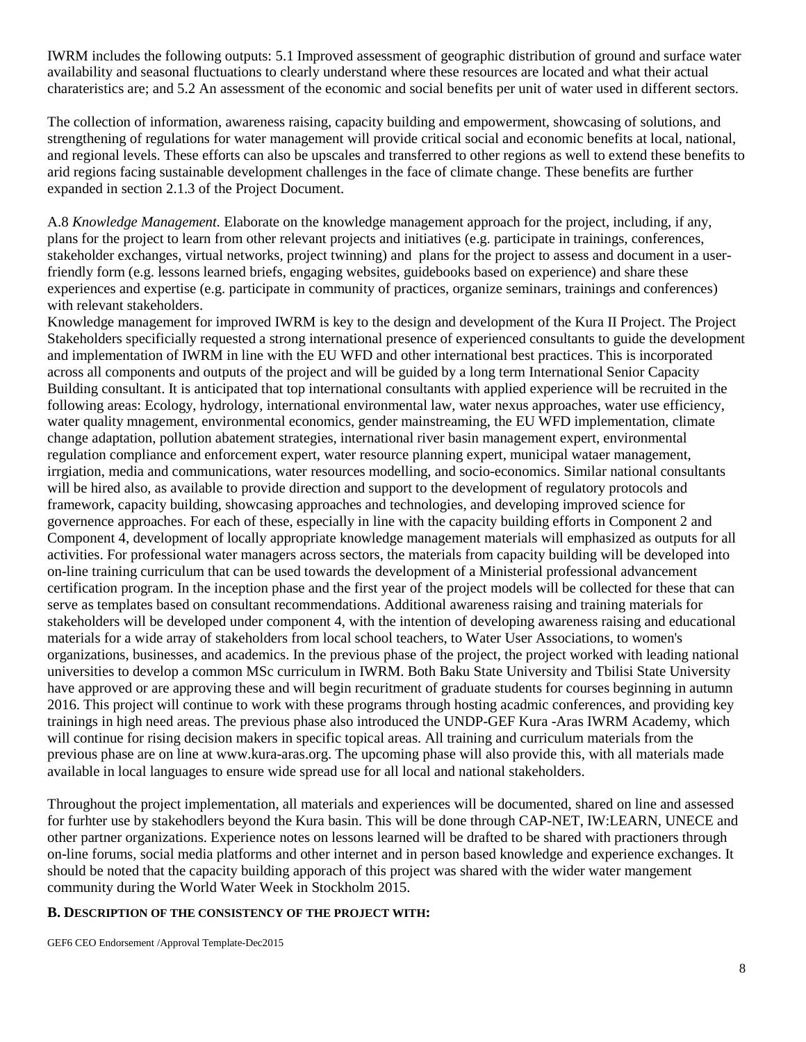IWRM includes the following outputs: 5.1 Improved assessment of geographic distribution of ground and surface water availability and seasonal fluctuations to clearly understand where these resources are located and what their actual charateristics are; and 5.2 An assessment of the economic and social benefits per unit of water used in different sectors.

The collection of information, awareness raising, capacity building and empowerment, showcasing of solutions, and strengthening of regulations for water management will provide critical social and economic benefits at local, national, and regional levels. These efforts can also be upscales and transferred to other regions as well to extend these benefits to arid regions facing sustainable development challenges in the face of climate change. These benefits are further expanded in section 2.1.3 of the Project Document.

A.8 *Knowledge Management.* Elaborate on the knowledge management approach for the project, including, if any, plans for the project to learn from other relevant projects and initiatives (e.g. participate in trainings, conferences, stakeholder exchanges, virtual networks, project twinning) and plans for the project to assess and document in a userfriendly form (e.g. lessons learned briefs, engaging websites, guidebooks based on experience) and share these experiences and expertise (e.g. participate in community of practices, organize seminars, trainings and conferences) with relevant stakeholders.

Knowledge management for improved IWRM is key to the design and development of the Kura II Project. The Project Stakeholders specificially requested a strong international presence of experienced consultants to guide the development and implementation of IWRM in line with the EU WFD and other international best practices. This is incorporated across all components and outputs of the project and will be guided by a long term International Senior Capacity Building consultant. It is anticipated that top international consultants with applied experience will be recruited in the following areas: Ecology, hydrology, international environmental law, water nexus approaches, water use efficiency, water quality mnagement, environmental economics, gender mainstreaming, the EU WFD implementation, climate change adaptation, pollution abatement strategies, international river basin management expert, environmental regulation compliance and enforcement expert, water resource planning expert, municipal wataer management, irrgiation, media and communications, water resources modelling, and socio-economics. Similar national consultants will be hired also, as available to provide direction and support to the development of regulatory protocols and framework, capacity building, showcasing approaches and technologies, and developing improved science for governence approaches. For each of these, especially in line with the capacity building efforts in Component 2 and Component 4, development of locally appropriate knowledge management materials will emphasized as outputs for all activities. For professional water managers across sectors, the materials from capacity building will be developed into on-line training curriculum that can be used towards the development of a Ministerial professional advancement certification program. In the inception phase and the first year of the project models will be collected for these that can serve as templates based on consultant recommendations. Additional awareness raising and training materials for stakeholders will be developed under component 4, with the intention of developing awareness raising and educational materials for a wide array of stakeholders from local school teachers, to Water User Associations, to women's organizations, businesses, and academics. In the previous phase of the project, the project worked with leading national universities to develop a common MSc curriculum in IWRM. Both Baku State University and Tbilisi State University have approved or are approving these and will begin recuritment of graduate students for courses beginning in autumn 2016. This project will continue to work with these programs through hosting acadmic conferences, and providing key trainings in high need areas. The previous phase also introduced the UNDP-GEF Kura -Aras IWRM Academy, which will continue for rising decision makers in specific topical areas. All training and curriculum materials from the previous phase are on line at www.kura-aras.org. The upcoming phase will also provide this, with all materials made available in local languages to ensure wide spread use for all local and national stakeholders.

Throughout the project implementation, all materials and experiences will be documented, shared on line and assessed for furhter use by stakehodlers beyond the Kura basin. This will be done through CAP-NET, IW:LEARN, UNECE and other partner organizations. Experience notes on lessons learned will be drafted to be shared with practioners through on-line forums, social media platforms and other internet and in person based knowledge and experience exchanges. It should be noted that the capacity building apporach of this project was shared with the wider water mangement community during the World Water Week in Stockholm 2015.

#### **B. DESCRIPTION OF THE CONSISTENCY OF THE PROJECT WITH:**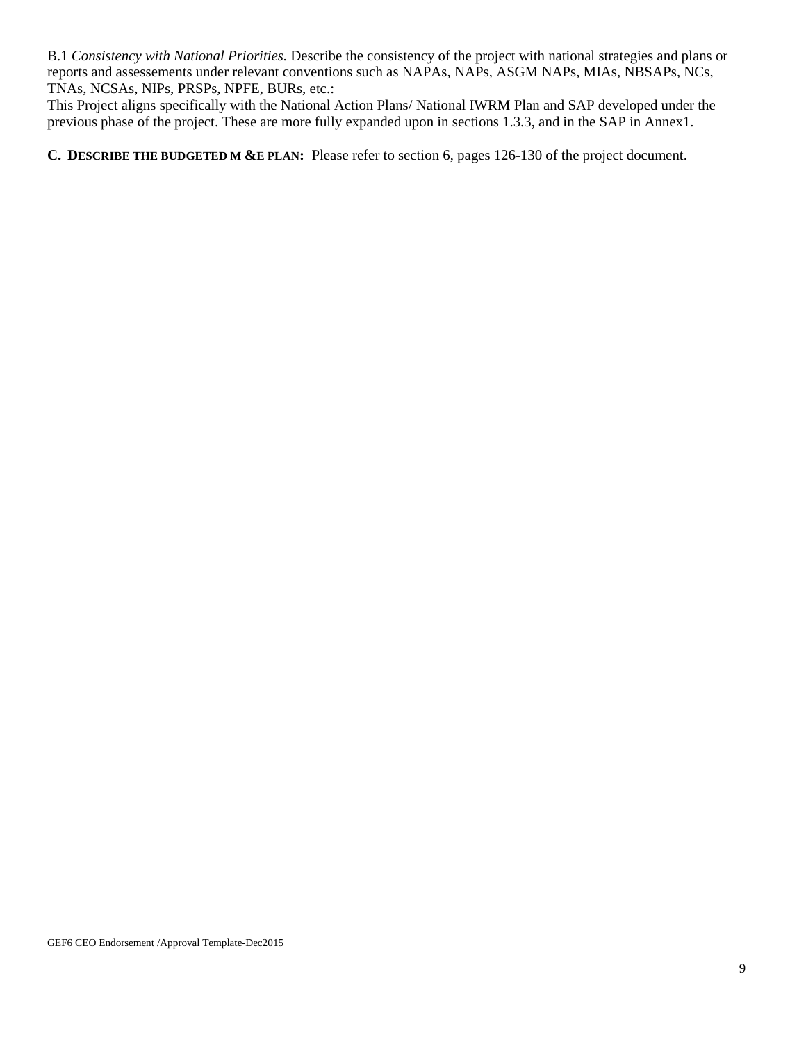B.1 *Consistency with National Priorities.* Describe the consistency of the project with national strategies and plans or reports and assessements under relevant conventions such as NAPAs, NAPs, ASGM NAPs, MIAs, NBSAPs, NCs, TNAs, NCSAs, NIPs, PRSPs, NPFE, BURs, etc.:

This Project aligns specifically with the National Action Plans/ National IWRM Plan and SAP developed under the previous phase of the project. These are more fully expanded upon in sections 1.3.3, and in the SAP in Annex1.

**C. DESCRIBE THE BUDGETED M &E PLAN:** Please refer to section 6, pages 126-130 of the project document.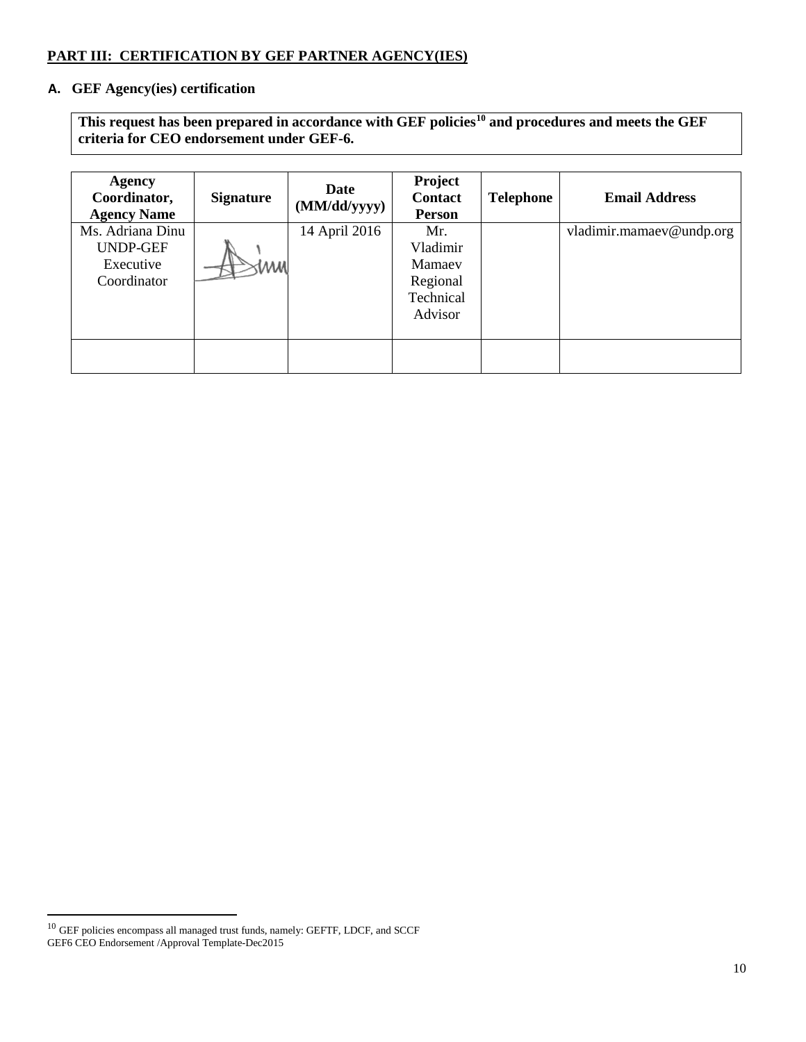## **PART III: CERTIFICATION BY GEF PARTNER AGENCY(IES)**

## **A. GEF Agency(ies) certification**

**This request has been prepared in accordance with GEF policies[10](#page-9-0) and procedures and meets the GEF criteria for CEO endorsement under GEF-6.**

| <b>Agency</b><br>Coordinator,<br><b>Agency Name</b>             | <b>Signature</b> | Date<br>(MM/dd/yyyy) | Project<br><b>Contact</b><br>Person                           | <b>Telephone</b> | <b>Email Address</b>     |
|-----------------------------------------------------------------|------------------|----------------------|---------------------------------------------------------------|------------------|--------------------------|
| Ms. Adriana Dinu<br><b>UNDP-GEF</b><br>Executive<br>Coordinator | MM               | 14 April 2016        | Mr.<br>Vladimir<br>Mamaey<br>Regional<br>Technical<br>Advisor |                  | vladimir.mamaev@undp.org |
|                                                                 |                  |                      |                                                               |                  |                          |

 $\overline{\phantom{a}}$ 

<span id="page-9-0"></span> $^{10}$  GEF policies encompass all managed trust funds, namely: GEFTF, LDCF, and SCCF GEF6 CEO Endorsement /Approval Template-Dec2015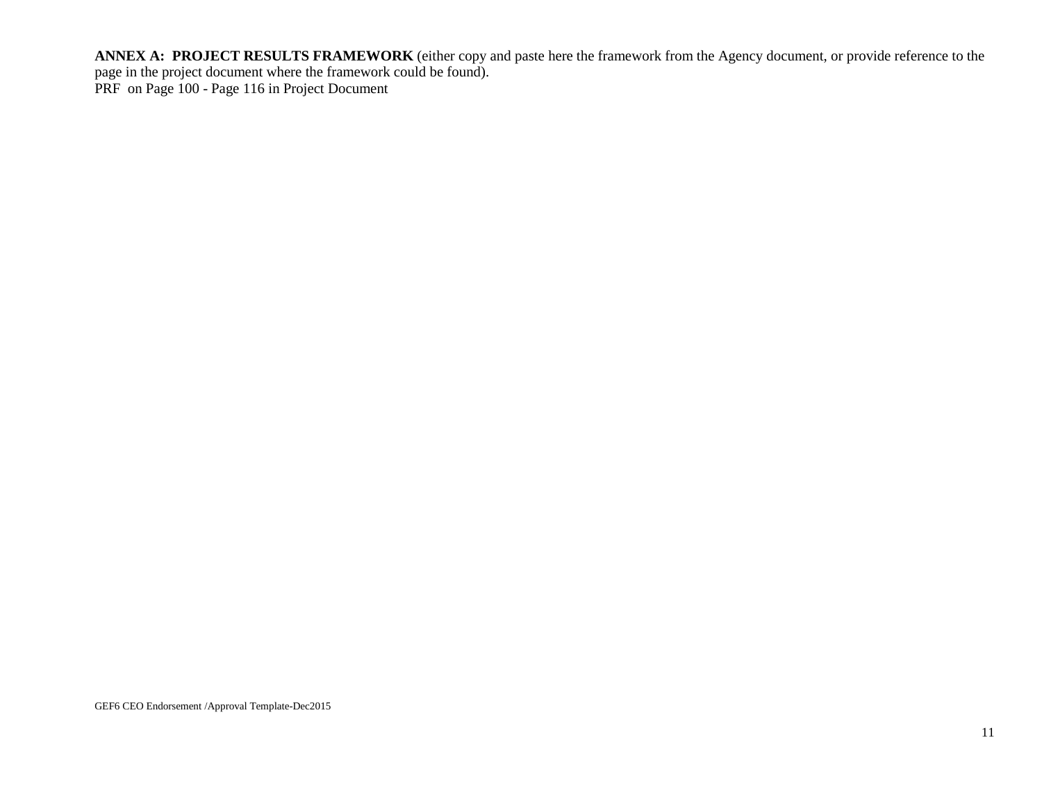**ANNEX A: PROJECT RESULTS FRAMEWORK** (either copy and paste here the framework from the Agency document, or provide reference to the page in the project document where the framework could be found). PRF on Page 100 - Page 116 in Project Document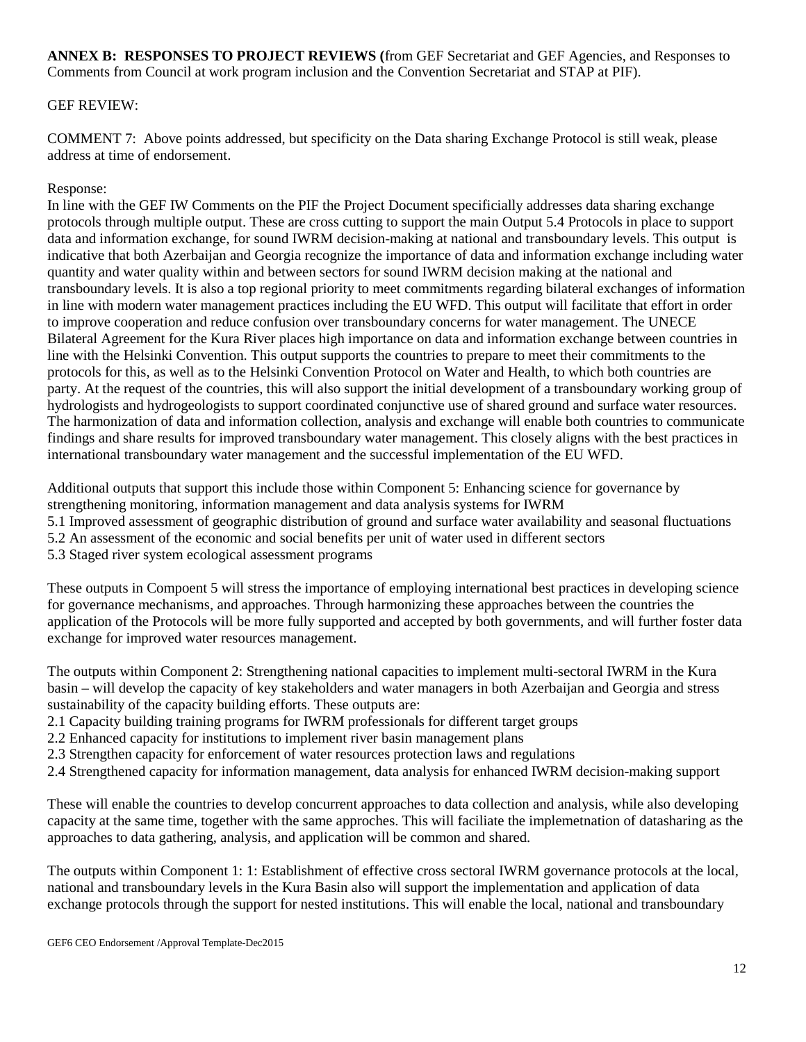**ANNEX B: RESPONSES TO PROJECT REVIEWS (**from GEF Secretariat and GEF Agencies, and Responses to Comments from Council at work program inclusion and the Convention Secretariat and STAP at PIF).

## GEF REVIEW:

COMMENT 7: Above points addressed, but specificity on the Data sharing Exchange Protocol is still weak, please address at time of endorsement.

## Response:

In line with the GEF IW Comments on the PIF the Project Document specificially addresses data sharing exchange protocols through multiple output. These are cross cutting to support the main Output 5.4 Protocols in place to support data and information exchange, for sound IWRM decision-making at national and transboundary levels. This output is indicative that both Azerbaijan and Georgia recognize the importance of data and information exchange including water quantity and water quality within and between sectors for sound IWRM decision making at the national and transboundary levels. It is also a top regional priority to meet commitments regarding bilateral exchanges of information in line with modern water management practices including the EU WFD. This output will facilitate that effort in order to improve cooperation and reduce confusion over transboundary concerns for water management. The UNECE Bilateral Agreement for the Kura River places high importance on data and information exchange between countries in line with the Helsinki Convention. This output supports the countries to prepare to meet their commitments to the protocols for this, as well as to the Helsinki Convention Protocol on Water and Health, to which both countries are party. At the request of the countries, this will also support the initial development of a transboundary working group of hydrologists and hydrogeologists to support coordinated conjunctive use of shared ground and surface water resources. The harmonization of data and information collection, analysis and exchange will enable both countries to communicate findings and share results for improved transboundary water management. This closely aligns with the best practices in international transboundary water management and the successful implementation of the EU WFD.

Additional outputs that support this include those within Component 5: Enhancing science for governance by strengthening monitoring, information management and data analysis systems for IWRM 5.1 Improved assessment of geographic distribution of ground and surface water availability and seasonal fluctuations 5.2 An assessment of the economic and social benefits per unit of water used in different sectors 5.3 Staged river system ecological assessment programs

These outputs in Compoent 5 will stress the importance of employing international best practices in developing science for governance mechanisms, and approaches. Through harmonizing these approaches between the countries the application of the Protocols will be more fully supported and accepted by both governments, and will further foster data exchange for improved water resources management.

The outputs within Component 2: Strengthening national capacities to implement multi-sectoral IWRM in the Kura basin – will develop the capacity of key stakeholders and water managers in both Azerbaijan and Georgia and stress sustainability of the capacity building efforts. These outputs are:

- 2.1 Capacity building training programs for IWRM professionals for different target groups
- 2.2 Enhanced capacity for institutions to implement river basin management plans
- 2.3 Strengthen capacity for enforcement of water resources protection laws and regulations
- 2.4 Strengthened capacity for information management, data analysis for enhanced IWRM decision-making support

These will enable the countries to develop concurrent approaches to data collection and analysis, while also developing capacity at the same time, together with the same approches. This will faciliate the implemetnation of datasharing as the approaches to data gathering, analysis, and application will be common and shared.

The outputs within Component 1: 1: Establishment of effective cross sectoral IWRM governance protocols at the local, national and transboundary levels in the Kura Basin also will support the implementation and application of data exchange protocols through the support for nested institutions. This will enable the local, national and transboundary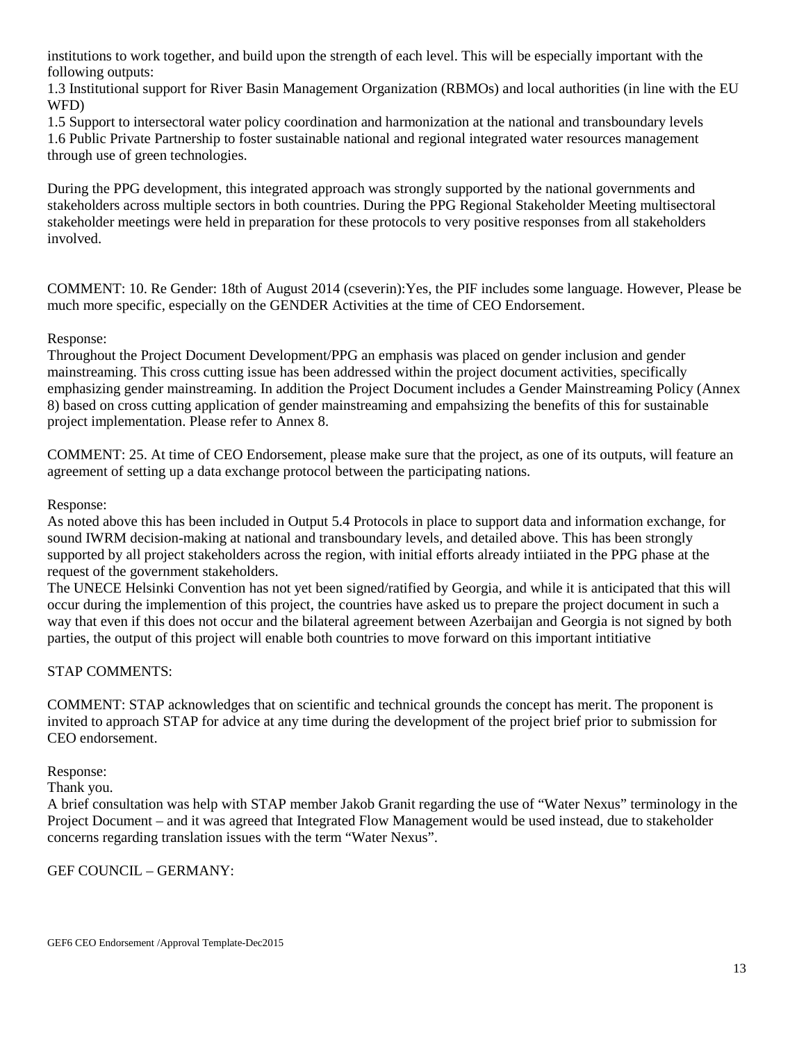institutions to work together, and build upon the strength of each level. This will be especially important with the following outputs:

1.3 Institutional support for River Basin Management Organization (RBMOs) and local authorities (in line with the EU WFD)

1.5 Support to intersectoral water policy coordination and harmonization at the national and transboundary levels 1.6 Public Private Partnership to foster sustainable national and regional integrated water resources management through use of green technologies.

During the PPG development, this integrated approach was strongly supported by the national governments and stakeholders across multiple sectors in both countries. During the PPG Regional Stakeholder Meeting multisectoral stakeholder meetings were held in preparation for these protocols to very positive responses from all stakeholders involved.

COMMENT: 10. Re Gender: 18th of August 2014 (cseverin):Yes, the PIF includes some language. However, Please be much more specific, especially on the GENDER Activities at the time of CEO Endorsement.

### Response:

Throughout the Project Document Development/PPG an emphasis was placed on gender inclusion and gender mainstreaming. This cross cutting issue has been addressed within the project document activities, specifically emphasizing gender mainstreaming. In addition the Project Document includes a Gender Mainstreaming Policy (Annex 8) based on cross cutting application of gender mainstreaming and empahsizing the benefits of this for sustainable project implementation. Please refer to Annex 8.

COMMENT: 25. At time of CEO Endorsement, please make sure that the project, as one of its outputs, will feature an agreement of setting up a data exchange protocol between the participating nations.

#### Response:

As noted above this has been included in Output 5.4 Protocols in place to support data and information exchange, for sound IWRM decision-making at national and transboundary levels, and detailed above. This has been strongly supported by all project stakeholders across the region, with initial efforts already intiiated in the PPG phase at the request of the government stakeholders.

The UNECE Helsinki Convention has not yet been signed/ratified by Georgia, and while it is anticipated that this will occur during the implemention of this project, the countries have asked us to prepare the project document in such a way that even if this does not occur and the bilateral agreement between Azerbaijan and Georgia is not signed by both parties, the output of this project will enable both countries to move forward on this important intitiative

#### STAP COMMENTS:

COMMENT: STAP acknowledges that on scientific and technical grounds the concept has merit. The proponent is invited to approach STAP for advice at any time during the development of the project brief prior to submission for CEO endorsement.

#### Response:

Thank you.

A brief consultation was help with STAP member Jakob Granit regarding the use of "Water Nexus" terminology in the Project Document – and it was agreed that Integrated Flow Management would be used instead, due to stakeholder concerns regarding translation issues with the term "Water Nexus".

## GEF COUNCIL – GERMANY: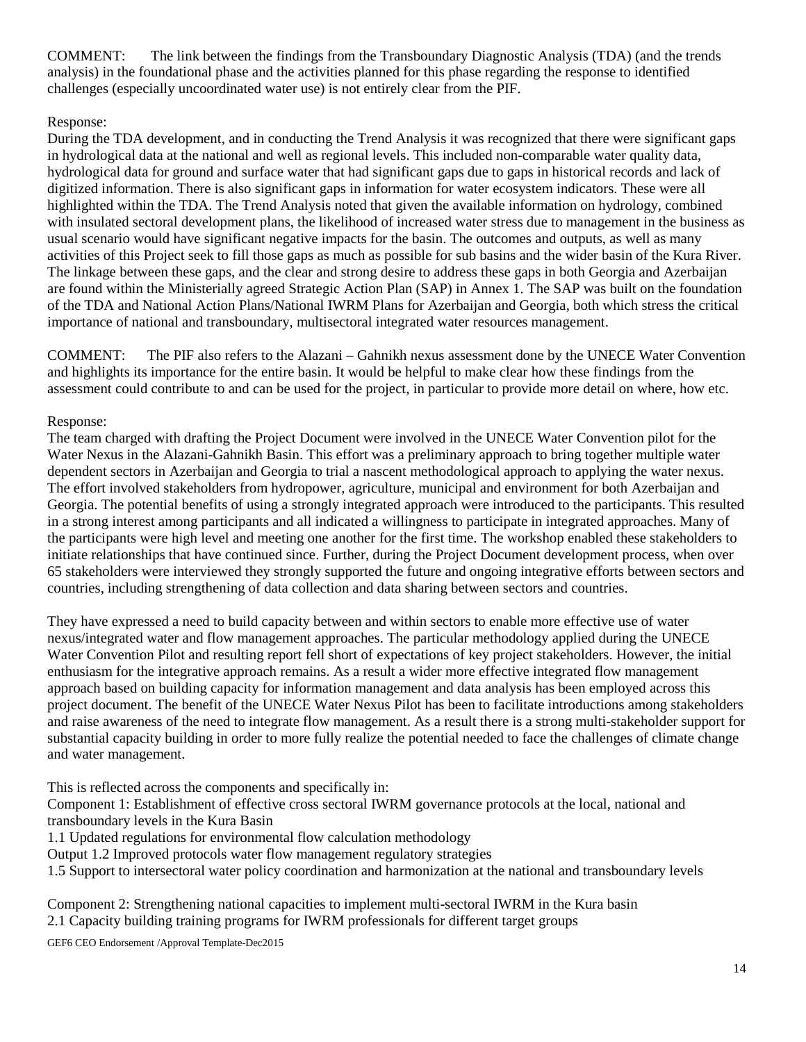COMMENT: The link between the findings from the Transboundary Diagnostic Analysis (TDA) (and the trends analysis) in the foundational phase and the activities planned for this phase regarding the response to identified challenges (especially uncoordinated water use) is not entirely clear from the PIF.

### Response:

During the TDA development, and in conducting the Trend Analysis it was recognized that there were significant gaps in hydrological data at the national and well as regional levels. This included non-comparable water quality data, hydrological data for ground and surface water that had significant gaps due to gaps in historical records and lack of digitized information. There is also significant gaps in information for water ecosystem indicators. These were all highlighted within the TDA. The Trend Analysis noted that given the available information on hydrology, combined with insulated sectoral development plans, the likelihood of increased water stress due to management in the business as usual scenario would have significant negative impacts for the basin. The outcomes and outputs, as well as many activities of this Project seek to fill those gaps as much as possible for sub basins and the wider basin of the Kura River. The linkage between these gaps, and the clear and strong desire to address these gaps in both Georgia and Azerbaijan are found within the Ministerially agreed Strategic Action Plan (SAP) in Annex 1. The SAP was built on the foundation of the TDA and National Action Plans/National IWRM Plans for Azerbaijan and Georgia, both which stress the critical importance of national and transboundary, multisectoral integrated water resources management.

COMMENT: The PIF also refers to the Alazani – Gahnikh nexus assessment done by the UNECE Water Convention and highlights its importance for the entire basin. It would be helpful to make clear how these findings from the assessment could contribute to and can be used for the project, in particular to provide more detail on where, how etc.

### Response:

The team charged with drafting the Project Document were involved in the UNECE Water Convention pilot for the Water Nexus in the Alazani-Gahnikh Basin. This effort was a preliminary approach to bring together multiple water dependent sectors in Azerbaijan and Georgia to trial a nascent methodological approach to applying the water nexus. The effort involved stakeholders from hydropower, agriculture, municipal and environment for both Azerbaijan and Georgia. The potential benefits of using a strongly integrated approach were introduced to the participants. This resulted in a strong interest among participants and all indicated a willingness to participate in integrated approaches. Many of the participants were high level and meeting one another for the first time. The workshop enabled these stakeholders to initiate relationships that have continued since. Further, during the Project Document development process, when over 65 stakeholders were interviewed they strongly supported the future and ongoing integrative efforts between sectors and countries, including strengthening of data collection and data sharing between sectors and countries.

They have expressed a need to build capacity between and within sectors to enable more effective use of water nexus/integrated water and flow management approaches. The particular methodology applied during the UNECE Water Convention Pilot and resulting report fell short of expectations of key project stakeholders. However, the initial enthusiasm for the integrative approach remains. As a result a wider more effective integrated flow management approach based on building capacity for information management and data analysis has been employed across this project document. The benefit of the UNECE Water Nexus Pilot has been to facilitate introductions among stakeholders and raise awareness of the need to integrate flow management. As a result there is a strong multi-stakeholder support for substantial capacity building in order to more fully realize the potential needed to face the challenges of climate change and water management.

This is reflected across the components and specifically in:

Component 1: Establishment of effective cross sectoral IWRM governance protocols at the local, national and transboundary levels in the Kura Basin

1.1 Updated regulations for environmental flow calculation methodology

Output 1.2 Improved protocols water flow management regulatory strategies

1.5 Support to intersectoral water policy coordination and harmonization at the national and transboundary levels

Component 2: Strengthening national capacities to implement multi-sectoral IWRM in the Kura basin 2.1 Capacity building training programs for IWRM professionals for different target groups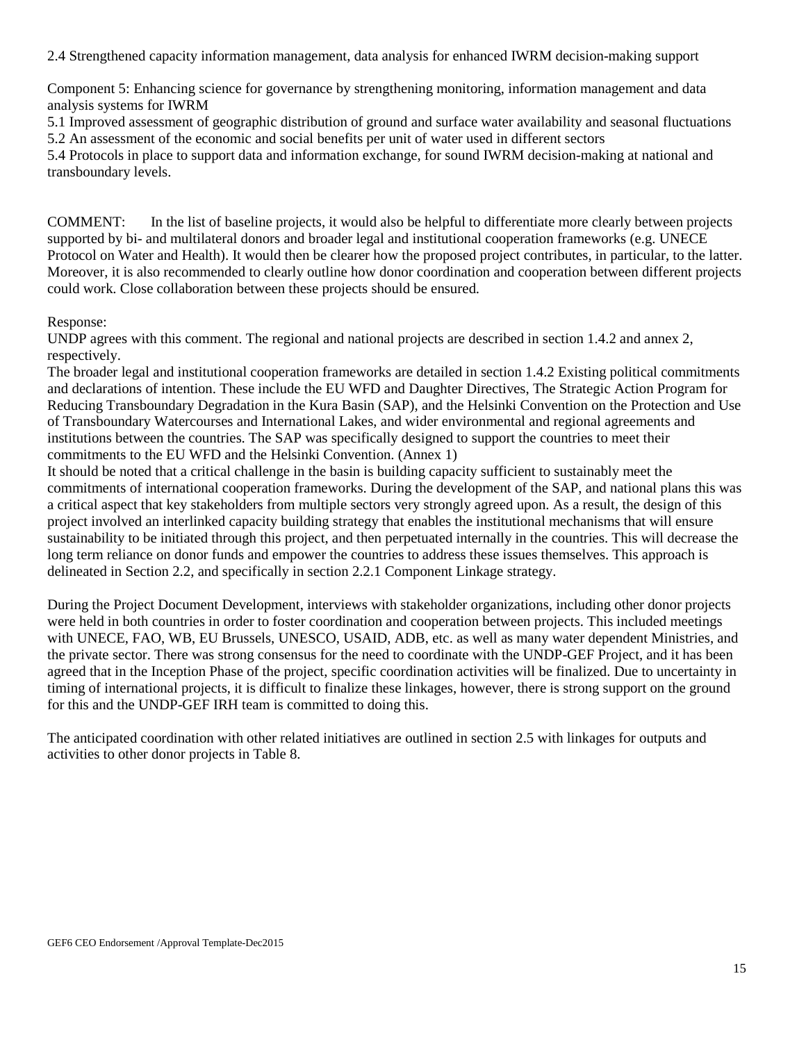2.4 Strengthened capacity information management, data analysis for enhanced IWRM decision-making support

Component 5: Enhancing science for governance by strengthening monitoring, information management and data analysis systems for IWRM

5.1 Improved assessment of geographic distribution of ground and surface water availability and seasonal fluctuations 5.2 An assessment of the economic and social benefits per unit of water used in different sectors

5.4 Protocols in place to support data and information exchange, for sound IWRM decision-making at national and transboundary levels.

COMMENT: In the list of baseline projects, it would also be helpful to differentiate more clearly between projects supported by bi- and multilateral donors and broader legal and institutional cooperation frameworks (e.g. UNECE Protocol on Water and Health). It would then be clearer how the proposed project contributes, in particular, to the latter. Moreover, it is also recommended to clearly outline how donor coordination and cooperation between different projects could work. Close collaboration between these projects should be ensured.

#### Response:

UNDP agrees with this comment. The regional and national projects are described in section 1.4.2 and annex 2, respectively.

The broader legal and institutional cooperation frameworks are detailed in section 1.4.2 Existing political commitments and declarations of intention. These include the EU WFD and Daughter Directives, The Strategic Action Program for Reducing Transboundary Degradation in the Kura Basin (SAP), and the Helsinki Convention on the Protection and Use of Transboundary Watercourses and International Lakes, and wider environmental and regional agreements and institutions between the countries. The SAP was specifically designed to support the countries to meet their commitments to the EU WFD and the Helsinki Convention. (Annex 1)

It should be noted that a critical challenge in the basin is building capacity sufficient to sustainably meet the commitments of international cooperation frameworks. During the development of the SAP, and national plans this was a critical aspect that key stakeholders from multiple sectors very strongly agreed upon. As a result, the design of this project involved an interlinked capacity building strategy that enables the institutional mechanisms that will ensure sustainability to be initiated through this project, and then perpetuated internally in the countries. This will decrease the long term reliance on donor funds and empower the countries to address these issues themselves. This approach is delineated in Section 2.2, and specifically in section 2.2.1 Component Linkage strategy.

During the Project Document Development, interviews with stakeholder organizations, including other donor projects were held in both countries in order to foster coordination and cooperation between projects. This included meetings with UNECE, FAO, WB, EU Brussels, UNESCO, USAID, ADB, etc. as well as many water dependent Ministries, and the private sector. There was strong consensus for the need to coordinate with the UNDP-GEF Project, and it has been agreed that in the Inception Phase of the project, specific coordination activities will be finalized. Due to uncertainty in timing of international projects, it is difficult to finalize these linkages, however, there is strong support on the ground for this and the UNDP-GEF IRH team is committed to doing this.

The anticipated coordination with other related initiatives are outlined in section 2.5 with linkages for outputs and activities to other donor projects in Table 8.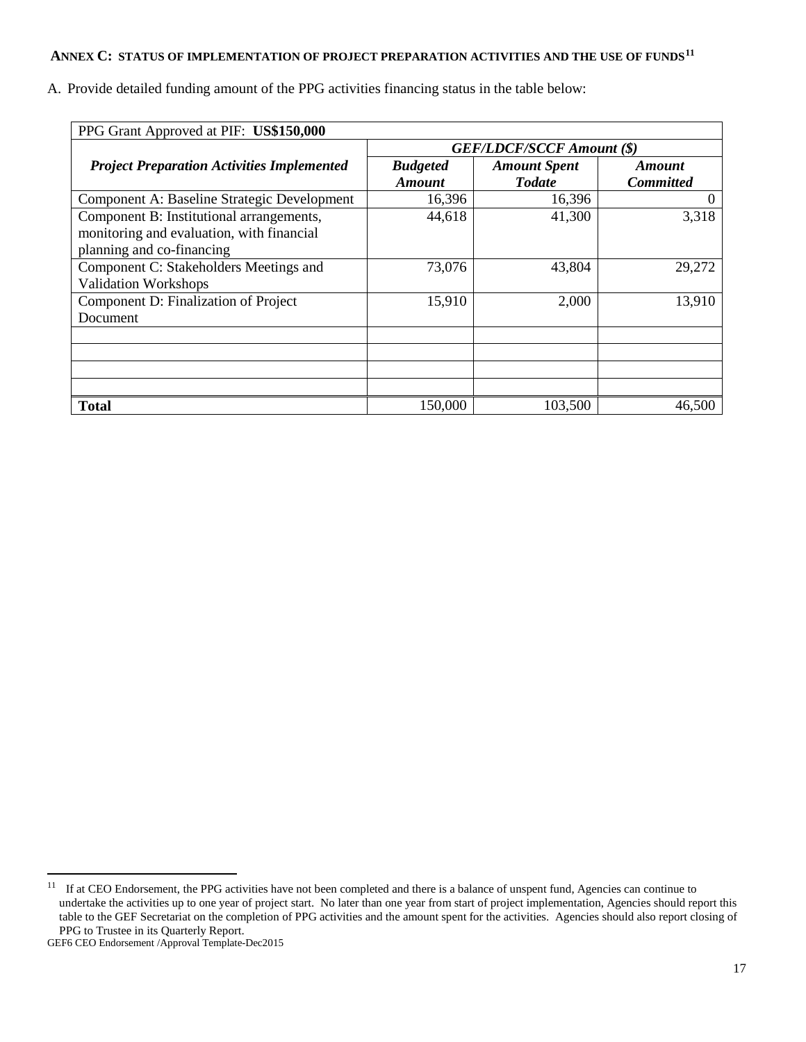# **ANNEX C: STATUS OF IMPLEMENTATION OF PROJECT PREPARATION ACTIVITIES AND THE USE OF FUNDS[11](#page-16-0)**

A. Provide detailed funding amount of the PPG activities financing status in the table below:

| PPG Grant Approved at PIF: US\$150,000                                                                             |                                  |                                      |                            |  |  |  |
|--------------------------------------------------------------------------------------------------------------------|----------------------------------|--------------------------------------|----------------------------|--|--|--|
|                                                                                                                    | <b>GEF/LDCF/SCCF Amount (\$)</b> |                                      |                            |  |  |  |
| <b>Project Preparation Activities Implemented</b>                                                                  | <b>Budgeted</b><br><b>Amount</b> | <b>Amount Spent</b><br><b>Todate</b> | Amount<br><b>Committed</b> |  |  |  |
| Component A: Baseline Strategic Development                                                                        | 16,396                           | 16,396                               |                            |  |  |  |
| Component B: Institutional arrangements,<br>monitoring and evaluation, with financial<br>planning and co-financing | 44,618                           | 41,300                               | 3,318                      |  |  |  |
| Component C: Stakeholders Meetings and<br><b>Validation Workshops</b>                                              | 73,076                           | 43,804                               | 29,272                     |  |  |  |
| Component D: Finalization of Project<br>Document                                                                   | 15,910                           | 2,000                                | 13,910                     |  |  |  |
|                                                                                                                    |                                  |                                      |                            |  |  |  |
|                                                                                                                    |                                  |                                      |                            |  |  |  |
| <b>Total</b>                                                                                                       | 150,000                          | 103,500                              | 46,500                     |  |  |  |

 $\overline{\phantom{a}}$ 

<span id="page-16-0"></span><sup>&</sup>lt;sup>11</sup> If at CEO Endorsement, the PPG activities have not been completed and there is a balance of unspent fund, Agencies can continue to undertake the activities up to one year of project start. No later than one year from start of project implementation, Agencies should report this table to the GEF Secretariat on the completion of PPG activities and the amount spent for the activities. Agencies should also report closing of PPG to Trustee in its Quarterly Report.

GEF6 CEO Endorsement /Approval Template-Dec2015